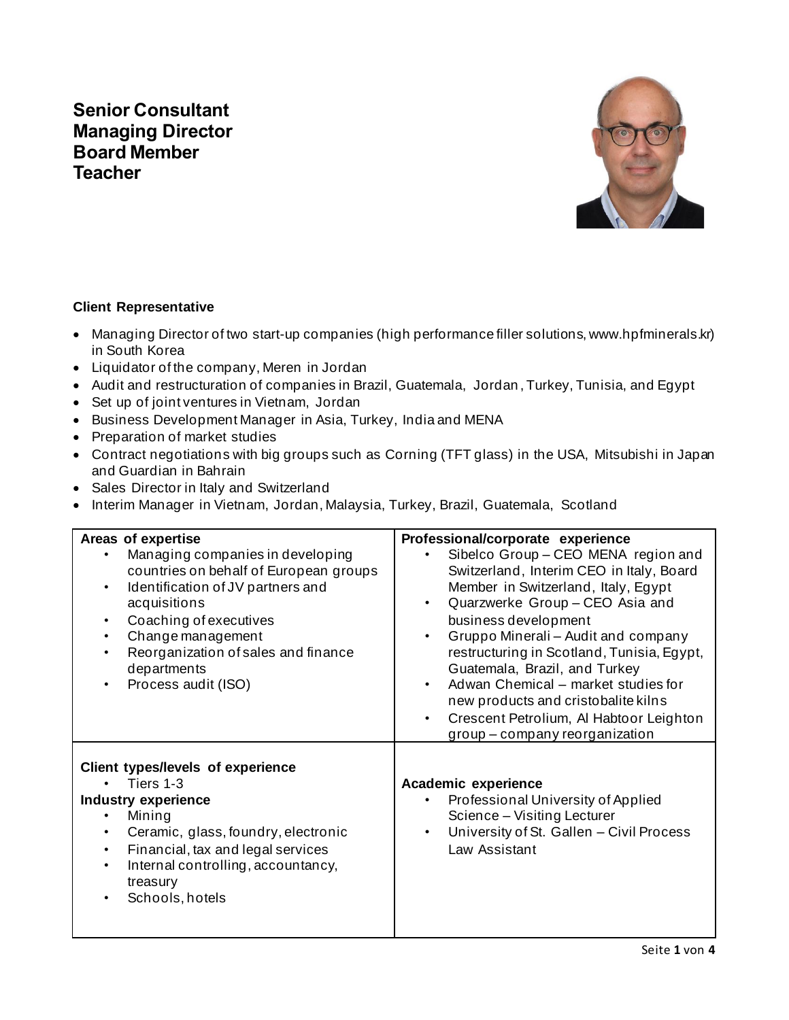# **Senior Consultant Managing Director Board Member Teacher**



### **Client Representative**

- Managing Director of two start-up companies (high performance filler solutions, www.hpfminerals.kr) in South Korea
- Liquidator of the company, Meren in Jordan
- Audit and restructuration of companies in Brazil, Guatemala, Jordan , Turkey, Tunisia, and Egypt
- Set up of joint ventures in Vietnam, Jordan
- Business Development Manager in Asia, Turkey, India and MENA
- Preparation of market studies
- Contract negotiations with big groups such as Corning (TFT glass) in the USA, Mitsubishi in Japan and Guardian in Bahrain
- Sales Director in Italy and Switzerland
- Interim Manager in Vietnam, Jordan, Malaysia, Turkey, Brazil, Guatemala, Scotland

| Areas of expertise                                                                                                                                                                                                                                                       | Professional/corporate experience                                                                                                                                                                                                                                                                                                                                                                                                                                               |
|--------------------------------------------------------------------------------------------------------------------------------------------------------------------------------------------------------------------------------------------------------------------------|---------------------------------------------------------------------------------------------------------------------------------------------------------------------------------------------------------------------------------------------------------------------------------------------------------------------------------------------------------------------------------------------------------------------------------------------------------------------------------|
| Managing companies in developing<br>countries on behalf of European groups<br>Identification of JV partners and<br>$\bullet$<br>acquisitions<br>Coaching of executives<br>Change management<br>Reorganization of sales and finance<br>departments<br>Process audit (ISO) | Sibelco Group - CEO MENA region and<br>Switzerland, Interim CEO in Italy, Board<br>Member in Switzerland, Italy, Egypt<br>Quarzwerke Group - CEO Asia and<br>business development<br>Gruppo Minerali - Audit and company<br>$\bullet$<br>restructuring in Scotland, Tunisia, Egypt,<br>Guatemala, Brazil, and Turkey<br>Adwan Chemical - market studies for<br>new products and cristobalite kilns<br>Crescent Petrolium, Al Habtoor Leighton<br>group – company reorganization |
| <b>Client types/levels of experience</b><br>Tiers 1-3<br><b>Industry experience</b><br>Mining<br>Ceramic, glass, foundry, electronic<br>Financial, tax and legal services<br>Internal controlling, accountancy,<br>treasury<br>Schools, hotels                           | Academic experience<br>Professional University of Applied<br>Science - Visiting Lecturer<br>University of St. Gallen - Civil Process<br>Law Assistant                                                                                                                                                                                                                                                                                                                           |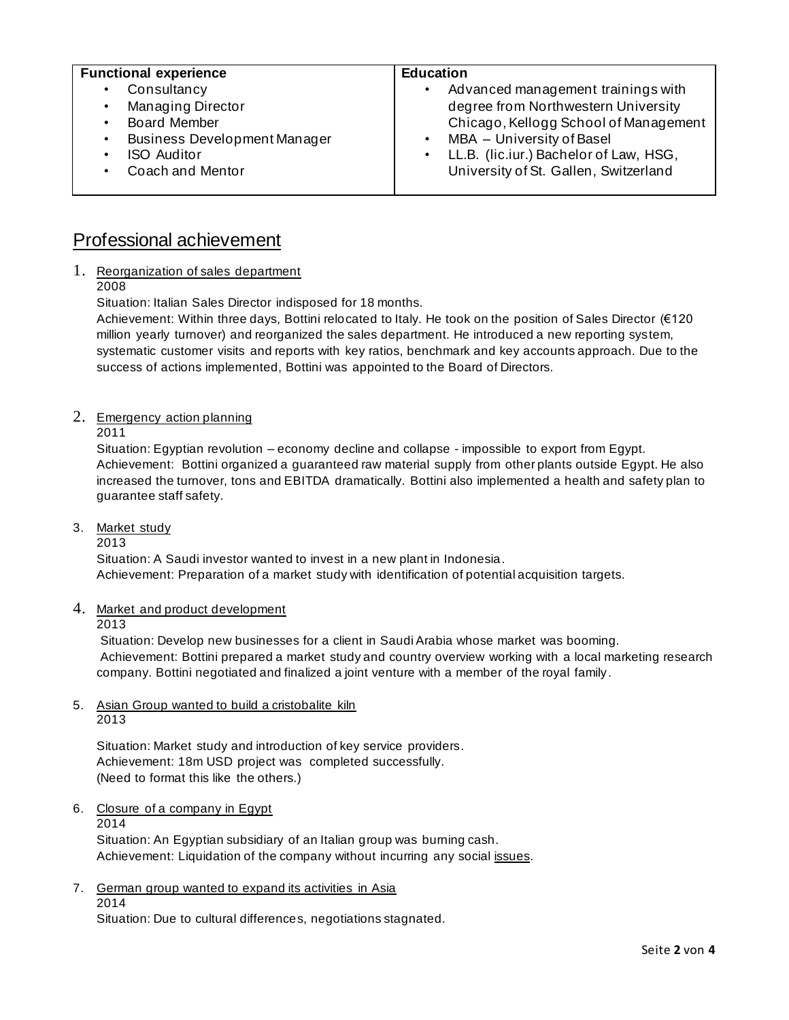| <b>Functional experience</b>                                                                                          | <b>Education</b>                                                                                                                                                  |
|-----------------------------------------------------------------------------------------------------------------------|-------------------------------------------------------------------------------------------------------------------------------------------------------------------|
| Consultancy<br>٠<br>Managing Director<br>$\bullet$<br><b>Board Member</b><br><b>Business Development Manager</b><br>٠ | Advanced management trainings with<br>٠<br>degree from Northwestern University<br>Chicago, Kellogg School of Management<br>MBA - University of Basel<br>$\bullet$ |
| <b>ISO Auditor</b><br>Coach and Mentor                                                                                | • LL.B. (lic.iur.) Bachelor of Law, HSG,<br>University of St. Gallen, Switzerland                                                                                 |

## Professional achievement

1. Reorganization of sales department

2008

Situation: Italian Sales Director indisposed for 18 months.

Achievement: Within three days, Bottini relocated to Italy. He took on the position of Sales Director (€120 million yearly turnover) and reorganized the sales department. He introduced a new reporting system, systematic customer visits and reports with key ratios, benchmark and key accounts approach. Due to the success of actions implemented, Bottini was appointed to the Board of Directors.

2. Emergency action planning

2011

Situation: Egyptian revolution – economy decline and collapse - impossible to export from Egypt. Achievement: Bottini organized a guaranteed raw material supply from other plants outside Egypt. He also increased the turnover, tons and EBITDA dramatically. Bottini also implemented a health and safety plan to guarantee staff safety.

3. Market study

2013

Situation: A Saudi investor wanted to invest in a new plant in Indonesia. Achievement: Preparation of a market study with identification of potential acquisition targets.

4. Market and product development

2013

Situation: Develop new businesses for a client in Saudi Arabia whose market was booming. Achievement: Bottini prepared a market study and country overview working with a local marketing research company. Bottini negotiated and finalized a joint venture with a member of the royal family .

## 5. Asian Group wanted to build a cristobalite kiln

2013

Situation: Market study and introduction of key service providers. Achievement: 18m USD project was completed successfully. (Need to format this like the others.)

6. Closure of a company in Egypt

2014 Situation: An Egyptian subsidiary of an Italian group was burning cash. Achievement: Liquidation of the company without incurring any social issues.

7. German group wanted to expand its activities in Asia 2014

Situation: Due to cultural differences, negotiations stagnated.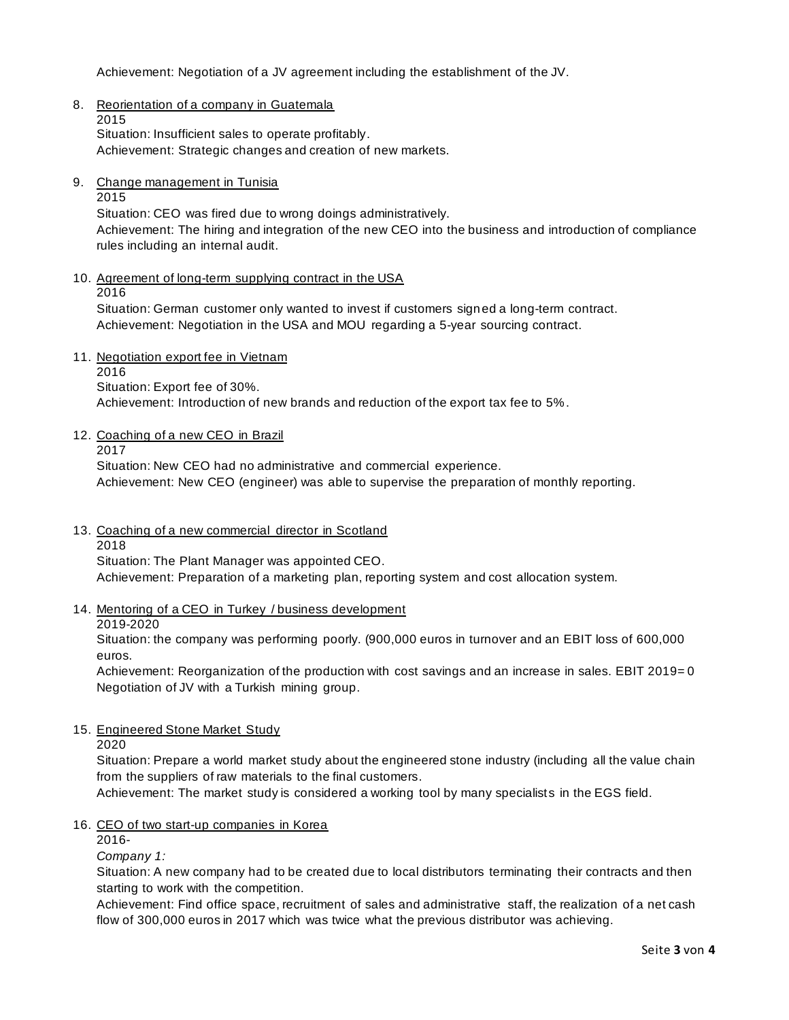Achievement: Negotiation of a JV agreement including the establishment of the JV.

8. Reorientation of a company in Guatemala

2015 Situation: Insufficient sales to operate profitably. Achievement: Strategic changes and creation of new markets.

9. Change management in Tunisia

2015

Situation: CEO was fired due to wrong doings administratively. Achievement: The hiring and integration of the new CEO into the business and introduction of compliance rules including an internal audit.

10. Agreement of long-term supplying contract in the USA

2016

Situation: German customer only wanted to invest if customers signed a long-term contract. Achievement: Negotiation in the USA and MOU regarding a 5-year sourcing contract.

11. Negotiation export fee in Vietnam

2016

Situation: Export fee of 30%.

Achievement: Introduction of new brands and reduction of the export tax fee to 5%.

12. Coaching of a new CEO in Brazil

2017

Situation: New CEO had no administrative and commercial experience. Achievement: New CEO (engineer) was able to supervise the preparation of monthly reporting.

- 13. Coaching of a new commercial director in Scotland
	- 2018

Situation: The Plant Manager was appointed CEO. Achievement: Preparation of a marketing plan, reporting system and cost allocation system.

14. Mentoring of a CEO in Turkey / business development

#### 2019-2020

Situation: the company was performing poorly. (900,000 euros in turnover and an EBIT loss of 600,000 euros.

Achievement: Reorganization of the production with cost savings and an increase in sales. EBIT 2019= 0 Negotiation of JV with a Turkish mining group.

#### 15. Engineered Stone Market Study

2020

Situation: Prepare a world market study about the engineered stone industry (including all the value chain from the suppliers of raw materials to the final customers.

Achievement: The market study is considered a working tool by many specialists in the EGS field.

#### 16. CEO of two start-up companies in Korea

2016-

*Company 1:*

Situation: A new company had to be created due to local distributors terminating their contracts and then starting to work with the competition.

Achievement: Find office space, recruitment of sales and administrative staff, the realization of a net cash flow of 300,000 euros in 2017 which was twice what the previous distributor was achieving.